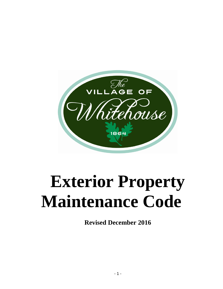

# **Exterior Property Maintenance Code**

**Revised December 2016**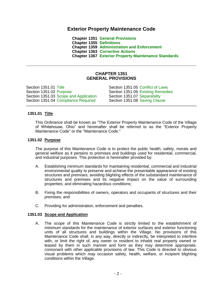## **Exterior Property Maintenance Code**

**Chapter 1351 [General Provisions](#page-1-0) Chapter 1355 [Definitions](#page-4-0) Chapter 1359 [Administration and Enforcement](#page-8-0) Chapter 1363 [Corrective Actions](#page-16-0) Chapter 1367 [Exterior Property Maintenance Standards](#page-20-0)**

## **CHAPTER 1351 GENERAL PROVISIONS**

<span id="page-1-0"></span>Section 1351.01 [Title](#page-1-1) Section 1351.02 [Purpose](#page-1-2) Section 1351.03 [Scope and Application](#page-1-3) Section 1351.04 [Compliance Required](#page-2-0)

Section 1351.05 [Conflict of Laws](#page-2-1) Section 1351.06 [Existing Remedies](#page-2-2) Section 1351.07 [Separability](#page-3-0) Section 1351.08 [Saving Clause](#page-3-1)

#### <span id="page-1-1"></span>**1351.01 Title**

This Ordinance shall be known as "The Exterior Property Maintenance Code of the Village of Whitehouse, Ohio" and hereinafter shall be referred to as the "Exterior Property Maintenance Code" or the "Maintenance Code."

#### <span id="page-1-2"></span>**1351.02 Purpose**

The purpose of this Maintenance Code is to protect the public health, safety, morals and general welfare as it pertains to premises and buildings used for residential, commercial, and industrial purposes. This protection is hereinafter provided by:

- A. Establishing minimum standards for maintaining residential, commercial and industrial environmental quality to preserve and achieve the presentable appearance of existing structures and premises; avoiding blighting effects of the substandard maintenance of structures and premises and its negative impact on the value of surrounding properties; and eliminating hazardous conditions;
- B. Fixing the responsibilities of owners, operators and occupants of structures and their premises; and
- C. Providing for administration, enforcement and penalties.

#### <span id="page-1-3"></span>**1351.03 Scope and Application**

A. The scope of this Maintenance Code is strictly limited to the establishment of minimum standards for the maintenance of exterior surfaces and exterior functioning units of all structures and buildings within the Village. No provisions of this Maintenance Code shall, in any way, directly or indirectly, be interpreted to interfere with, or limit the right of, any owner or resident to inhabit real property owned or leased by them in such manner and form as they may determine appropriate, consonant with other applicable provisions of law. This Code is directed to obvious visual problems which may occasion safety, health, welfare, or incipient blighting conditions within the Village.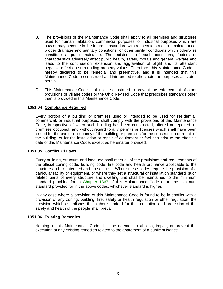- B. The provisions of the Maintenance Code shall apply to all premises and structures used for human habitation, commercial purposes, or industrial purposes which are now or may become in the future substandard with respect to structure, maintenance, proper drainage and sanitary conditions, or other similar conditions which otherwise constitute a public nuisance. The existence of such conditions, factors or characteristics adversely affect public health, safety, morals and general welfare and leads to the continuation, extension and aggravation of blight and its attendant negative effect on surrounding property values. Therefore, this Maintenance Code is hereby declared to be remedial and preemptive, and it is intended that this Maintenance Code be construed and interpreted to effectuate the purposes as stated herein.
- C. This Maintenance Code shall not be construed to prevent the enforcement of other provisions of Village codes or the Ohio Revised Code that prescribes standards other than is provided in this Maintenance Code.

#### <span id="page-2-0"></span>**1351.04 Compliance Required**

Every portion of a building or premises used or intended to be used for residential, commercial, or industrial purposes, shall comply with the provisions of this Maintenance Code, irrespective of when such building has been constructed, altered or repaired, or premises occupied, and without regard to any permits or licenses which shall have been issued for the use or occupancy of the building or premises for the construction or repair of the building, or for the installation or repair of equipment or facilities prior to the effective date of this Maintenance Code, except as hereinafter provided.

#### <span id="page-2-1"></span>**1351.05 Conflict Of Laws**

Every building, structure and land use shall meet all of the provisions and requirements of the official zoning code, building code, fire code and health ordinance applicable to the structure and it's intended and present use. Where these codes require the provision of a particular facility or equipment, or where they set a structural or installation standard, such related parts of every structure and dwelling unit shall be maintained to the minimum standard provided for in [Chapter 1367](#page-20-0) of this Maintenance Code or to the minimum standard provided for in the above codes, whichever standard is higher.

In any case where a provision of this Maintenance Code is found to be in conflict with a provision of any zoning, building, fire, safety or health regulation or other regulation, the provision which establishes the higher standard for the promotion and protection of the safety and health of the people shall prevail.

#### <span id="page-2-2"></span>**1351.06 Existing Remedies**

Nothing in this Maintenance Code shall be deemed to abolish, impair, or prevent the execution of any existing remedies related to the abatement of a public nuisance.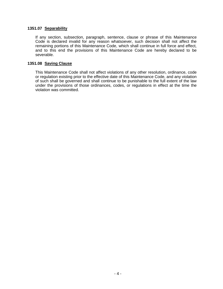#### <span id="page-3-0"></span>**1351.07 Separability**

If any section, subsection, paragraph, sentence, clause or phrase of this Maintenance Code is declared invalid for any reason whatsoever, such decision shall not affect the remaining portions of this Maintenance Code, which shall continue in full force and effect, and to this end the provisions of this Maintenance Code are hereby declared to be severable.

## <span id="page-3-1"></span>**1351.08 Saving Clause**

This Maintenance Code shall not affect violations of any other resolution, ordinance, code or regulation existing prior to the effective date of this Maintenance Code, and any violation of such shall be governed and shall continue to be punishable to the full extent of the law under the provisions of those ordinances, codes, or regulations in effect at the time the violation was committed.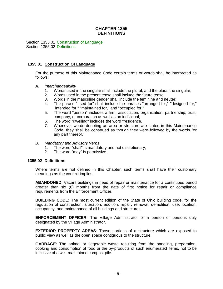## **CHAPTER 1355 DEFINITIONS**

<span id="page-4-0"></span>Section 1355.01 [Construction of Language](#page-4-1) Section 1355.02 [Definitions](#page-4-2)

#### <span id="page-4-1"></span>**1355.01 Construction Of Language**

For the purpose of this Maintenance Code certain terms or words shall be interpreted as follows:

- *A. Interchangeability*
	- 1. Words used in the singular shall include the plural, and the plural the singular;
	- 2. Words used in the present tense shall include the future tense;
	- 3. Words in the masculine gender shall include the feminine and neuter;
	- 4. The phrase "used for" shall include the phrases "arranged for," "designed for," "intended for," "maintained for," and "occupied for;"
	- 5. The word "person" includes a firm, association, organization, partnership, trust, company, or corporation as well as an individual;
	- 6. The word "dwelling" includes the word "residence.
	- 7. Whenever words denoting an area or structure are stated in this Maintenance Code, they shall be construed as though they were followed by the words "or any part thereof."
- *B. Mandatory and Advisory Verbs*
	- 1. The word "shall" is mandatory and not discretionary;
	- 2. The word "may" is permissive.

#### <span id="page-4-2"></span>**1355.02 Definitions**

Where terms are not defined in this Chapter, such terms shall have their customary meanings as the context implies.

**ABANDONED:** Vacant buildings in need of repair or maintenance for a continuous period greater than six (6) months from the date of first notice for repair or compliance requirements from the Enforcement Officer.

**BUILDING CODE**: The most current edition of the State of Ohio building code, for the regulation of construction, alteration, addition, repair, removal, demolition, use, location, occupancy, and maintenance of all buildings and structures.

**ENFORCEMENT OFFICER**: The Village Administrator or a person or persons duly designated by the Village Administrator.

**EXTERIOR PROPERTY AREAS**: Those portions of a structure which are exposed to public view as well as the open space contiguous to the structure.

**GARBAGE**: The animal or vegetable waste resulting from the handling, preparation, cooking and consumption of food or the by-products of such enumerated items, not to be inclusive of a well-maintained compost pile.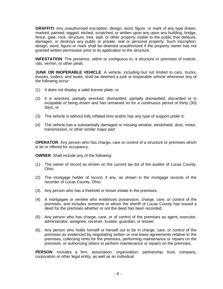**GRAFFITI**: Any unauthorized inscription, design, word, figure, or mark of any type drawn, marked, painted, tagged, etched, scratched, or written upon any upon any building, bridge, fence, gate, rock, structure, tree, wall, or other property visible to the public that defaces, damages, or destroys any public or private, real or personal property. Such inscription, design, word, figure or mark shall be deemed unauthorized if the property owner has not granted written permission prior to its application to the structure.

**INFESTATION**: The presence, within or contiguous to, a structure or premises of insects, rats, vermin, or other pests.

**JUNK OR INOPERABLE VEHICLE**: A vehicle, including but not limited to cars, trucks, busses, trailers, and boats, shall be deemed a junk or inoperable vehicle whenever any of the following occur:

- (1) It does not display a valid license plate; or
- (2) It is wrecked, partially wrecked, dismantled, partially dismantled, discarded or is incapable of being driven and has remained so for a continuous period of thirty (30) days; or
- (3) The vehicle is without fully inflated tires and/or has any type of support under it;
- (4) The vehicle has a substantially damaged or missing window, windshield, door, motor, transmission, or other similar major part.

**OPERATOR:** Any person who has charge, care or control of a structure or premises which is let or offered for occupancy.

**OWNER**: Shall include any of the following:

- (1) The owner of record as shown on the current tax list of the auditor of Lucas County, Ohio;
- (2) The mortgage holder of record, if any, as shown in the mortgage records of the recorder of Lucas County, Ohio;
- (3) Any person who has a freehold or lesser estate in the premises;
- (4) A mortgagee or vendee who evidences possession, charge, care, or control of the premises, and includes someone to whom the sheriff of Lucas County has issued a deed for the premises whether or not the deed has been recorded;
- (5) Any person who has charge, care, or of control of the premises as agent, executor, administrator, assignee, receiver, trustee, guardian, or lessee;
- (6) Any person who holds himself or herself out to be in charge, care, or control of the premises as evidenced by negotiating written or oral lease agreements relative to the premises, collecting rents for the premises, performing maintenance or repairs on the premises, or authorizing others to perform maintenance or repairs on the premises.

**PERSON**: Includes a firm, association, organization, partnership, trust, company, corporation or other legal entity, as well as an individual.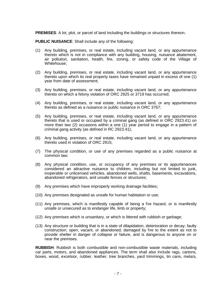**PREMISES**: A lot, plot, or parcel of land including the buildings or structures thereon.

**PUBLIC NUISANCE**: Shall include any of the following:

- (1) Any building, premises, or real estate, including vacant land, or any appurtenance thereto which is not in compliance with any building, housing, nuisance abatement, air pollution, sanitation, health, fire, zoning, or safety code of the Village of Whitehouse;
- (2) Any building, premises, or real estate, including vacant land, or any appurtenance thereto upon which its real property taxes have remained unpaid in excess of one (1) year from date of assessment;
- (3) Any building, premises, or real estate, including vacant land, or any appurtenance thereto on which a felony violation of ORC 2925 or 3719 has occurred;
- (4) Any building, premises, or real estate, including vacant land, or any appurtenance thereto as defined as a nuisance or public nuisance in ORC 3767;
- (5) Any building, premises, or real estate, including vacant land, or any appurtenance thereto that is used or occupied by a criminal gang (as defined in ORC 2923.41) on more than two (2) occasions within a one (1) year period to engage in a pattern of criminal gang activity (as defined in RC 2923.41);
- (6) Any building, premises, or real estate, including vacant land, or any appurtenance thereto used in violation of ORC 2915;
- (7) The physical condition, or use of any premises regarded as a public nuisance at common law;
- (8) Any physical condition, use, or occupancy of any premises or its appurtenances considered an attractive nuisance to children, including but not limited to junk, inoperable or unlicensed vehicles, abandoned wells, shafts, basements, excavations, abandoned refrigerators, and unsafe fences or structures;
- (9) Any premises which have improperly working drainage facilities;
- (10) Any premises designated as unsafe for human habitation or use;
- (11) Any premises, which is manifestly capable of being a fire hazard, or is manifestly unsafe or unsecured as to endanger life, limb or property;
- (12) Any premises which is unsanitary, or which is littered with rubbish or garbage;
- (13) Any structure or building that is in a state of dilapidation, deterioration or decay; faulty construction; open, vacant, or abandoned; damaged by fire to the extent as not to provide shelter in danger of collapse or failure, and is dangerous to anyone on or near the premises.

**RUBBISH**: Rubbish is both combustible and non-combustible waste materials, including car parts, motors, and abandoned appliances. The term shall also include rags, cartons, boxes, wood, excelsior, rubber, leather, tree branches, yard trimmings, tin cans, metals,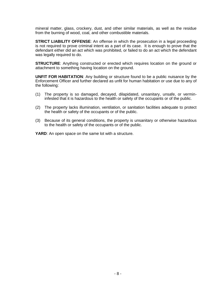mineral matter, glass, crockery, dust, and other similar materials, as well as the residue from the burning of wood, coal, and other combustible materials.

**STRICT LIABILITY OFFENSE:** An offense in which the prosecution in a legal proceeding is not required to prove criminal intent as a part of its case. It is enough to prove that the defendant either did an act which was prohibited, or failed to do an act which the defendant was legally required to do.

**STRUCTURE**: Anything constructed or erected which requires location on the ground or attachment to something having location on the ground.

**UNFIT FOR HABITATION**: Any building or structure found to be a public nuisance by the Enforcement Officer and further declared as unfit for human habitation or use due to any of the following:

- (1) The property is so damaged, decayed, dilapidated, unsanitary, unsafe, or vermininfested that it is hazardous to the health or safety of the occupants or of the public.
- (2) The property lacks illumination, ventilation, or sanitation facilities adequate to protect the health or safety of the occupants or of the public.
- (3) Because of its general conditions, the property is unsanitary or otherwise hazardous to the health or safety of the occupants or of the public.

**YARD:** An open space on the same lot with a structure.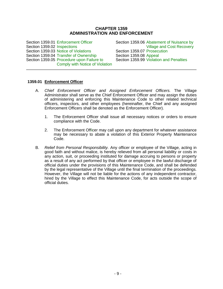## **CHAPTER 1359 ADMINISTRATION AND ENFORCEMENT**

<span id="page-8-0"></span>Section 1359.01 [Enforcement Officer](#page-8-1) Section 1359.02 [Inspections](#page-9-0) Section 1359.03 [Notice of Violations](#page-10-0) Section 1359.04 [Transfer of Ownership](#page-12-0) Section 1359.05 [Procedure upon](#page-13-0) Failure to [Comply with Notice of Violation](#page-13-0)

Section 1359.06 [Abatement of Nuisance by](#page-13-1)  [Village and Cost Recovery](#page-13-1) Section 1359.07 [Prosecution](#page-14-0) Section 1359.08 [Appeal](#page-14-1) Section 1359.99 [Violation and Penalties](#page-15-0)

#### <span id="page-8-1"></span>**1359.01 Enforcement Officer**

- A. *Chief Enforcement Officer and Assigned Enforcement Officers.* The Village Administrator shall serve as the Chief Enforcement Officer and may assign the duties of administering and enforcing this Maintenance Code to other related technical officers, inspectors, and other employees (hereinafter, the Chief and any assigned Enforcement Officers shall be denoted as the Enforcement Officer).
	- 1. The Enforcement Officer shall issue all necessary notices or orders to ensure compliance with the Code.
	- 2. The Enforcement Officer may call upon any department for whatever assistance may be necessary to abate a violation of this Exterior Property Maintenance Code.
- B. *Relief from Personal Responsibility.* Any officer or employee of the Village, acting in good faith and without malice, is hereby relieved from all personal liability or costs in any action, suit, or proceeding instituted for damage accruing to persons or property as a result of any act performed by that officer or employee in the lawful discharge of official duties under the provisions of this Maintenance Code, and shall be defended by the legal representative of the Village until the final termination of the proceedings. However, the Village will not be liable for the actions of any independent contractor, hired by the Village to effect this Maintenance Code, for acts outside the scope of official duties.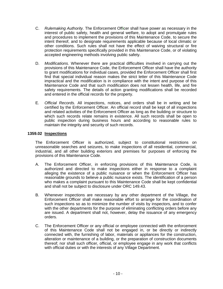- C. *Rulemaking Authority.* The Enforcement Officer shall have power as necessary in the interest of public safety, health and general welfare, to adopt and promulgate rules and procedures to implement the provisions of this Maintenance Code, to secure the intent thereof, and to designate requirements applicable because of local climatic or other conditions. Such rules shall not have the effect of waiving structural or fire protection requirements specifically provided in this Maintenance Code, or of violating accepted engineering methods involving public safety.
- D. *Modifications.* Whenever there are practical difficulties involved in carrying out the provisions of this Maintenance Code, the Enforcement Officer shall have the authority to grant modifications for individual cases, provided the Enforcement Officer shall first find that special individual reason makes the strict letter of this Maintenance Code impractical and the modification is in compliance with the intent and purpose of this Maintenance Code and that such modification does not lessen health, life, and fire safety requirements. The details of action granting modifications shall be recorded and entered in the official records for the property.
- E. *Official Records.* All inspections, notices, and orders shall be in writing and be certified by the Enforcement Officer. An official record shall be kept of all inspections and related activities of the Enforcement Officer as long as the building or structure to which such records relate remains in existence. All such records shall be open to public inspection during business hours and according to reasonable rules to maintain the integrity and security of such records.

## <span id="page-9-0"></span>**1359.02 Inspections**

The Enforcement Officer is authorized, subject to constitutional restrictions on unreasonable searches and seizures, to make inspections of all residential, commercial, industrial, and all other building exteriors and premises for purposes of enforcing the provisions of this Maintenance Code.

- A. The Enforcement Officer, in enforcing provisions of this Maintenance Code, is authorized and directed to make inspections either in response to a complaint alleging the existence of a public nuisance or when the Enforcement Officer has reasonable grounds to believe a public nuisance exists. The identification of a person who makes a complaint pursuant to this Maintenance Code shall be kept confidential and shall not be subject to disclosure under ORC 149.43.
- B. Whenever inspections are necessary by any other department of the Village, the Enforcement Officer shall make reasonable effort to arrange for the coordination of such inspections so as to minimize the number of visits by inspectors, and to confer with the other departments for the purpose of eliminating conflicting orders before any are issued. A department shall not, however, delay the issuance of any emergency orders.
- C. The Enforcement Officer or any official or employee connected with the enforcement of this Maintenance Code shall not be engaged in, or be directly or indirectly connected with, the furnishing of labor, materials or appliances for the construction, alteration or maintenance of a building, or the preparation of construction documents thereof; nor shall such officer, official, or employee engage in any work that conflicts with official duties or with the interests of any Village Department.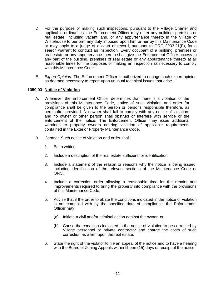- D. For the purpose of making such inspections, pursuant to the Village Charter and applicable ordinances, the Enforcement Officer may enter any building, premises or real estate, including vacant land, or any appurtenance thereto in the Village of Whitehouse to perform any duty imposed upon him or her by this Maintenance Code or may apply to a judge of a court of record, pursuant to ORC 2933.21(F), for a search warrant to conduct an inspection. Every occupant of a building, premises or real estate or any appurtenance thereto shall give the Enforcement Officer access to any part of the building, premises or real estate or any appurtenance thereto at all reasonable times for the purposes of making an inspection as necessary to comply with this Maintenance Code.
- E. *Expert Opinion.* The Enforcement Officer is authorized to engage such expert opinion as deemed necessary to report upon unusual technical issues that arise.

## <span id="page-10-0"></span>**1359.03 Notice of Violation**

- A. Whenever the Enforcement Officer determines that there is a violation of the provisions of this Maintenance Code, notice of such violation and order for compliance shall be given to the person or persons responsible therefore, as hereinafter provided. No owner shall fail to comply with any notice of violation, and no owner or other person shall obstruct or interfere with service or the enforcement of the notice. The Enforcement Officer may issue additional warnings to property owners nearing violation of applicable requirements contained in the Exterior Property Maintenance Code.
- B. *Content.* Such notice of violation and order shall:
	- 1. Be in writing.
	- 2. Include a description of the real estate sufficient for identification.
	- 3. Include a statement of the reason or reasons why the notice is being issued, including identification of the relevant sections of the Maintenance Code or ORC.
	- 4. Include a correction order allowing a reasonable time for the repairs and improvements required to bring the property into compliance with the provisions of this Maintenance Code;
	- 5. Advise that if the order to abate the conditions indicated in the notice of violation is not complied with by the specified date of compliance, the Enforcement Officer may:
		- (a) Initiate a civil and/or criminal action against the owner, or
		- (b) Cause the conditions indicated in the notice of violation to be corrected by Village personnel or private contractor and charge the costs of such correction as a lien upon the real estate.
	- 6. State the right of the violator to file an appeal of the notice and to have a hearing with the Board of Zoning Appeals within fifteen (15) days of receipt of the notice.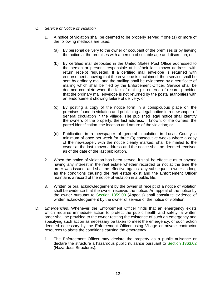- C. *Service of Notice of Violation*
	- 1. A notice of violation shall be deemed to be properly served if one (1) or more of the following methods are used:
		- (a) By personal delivery to the owner or occupant of the premises or by leaving the notice at the premises with a person of suitable age and discretion; or
		- (b) By certified mail deposited in the United States Post Office addressed to the person or persons responsible at his/their last known address, with return receipt requested. If a certified mail envelope is returned with endorsement showing that the envelope is unclaimed, then service shall be sent by ordinary mail and the mailing shall be evidenced by a certificate of mailing which shall be filed by the Enforcement Officer. Service shall be deemed complete when the fact of mailing is entered of record, provided that the ordinary mail envelope is not returned by the postal authorities with an endorsement showing failure of delivery; or
		- (c) By posting a copy of the notice form in a conspicuous place on the premises found in violation and publishing a legal notice in a newspaper of general circulation in the Village. The published legal notice shall identify the owners of the property, the last address, if known, of the owners, the parcel identification, the location and nature of the violation; or
		- (d) Publication in a newspaper of general circulation in Lucas County a minimum of once per week for three (3) consecutive weeks where a copy of the newspaper, with the notice clearly marked, shall be mailed to the owner at the last known address and the notice shall be deemed received as of the date of the last publication.
	- 2. When the notice of violation has been served, it shall be effective as to anyone having any interest in the real estate whether recorded or not at the time the order was issued, and shall be effective against any subsequent owner as long as the conditions causing the real estate exist and the Enforcement Officer maintains a record of the notice of violation in a public file.
	- 3. Written or oral acknowledgement by the owner of receipt of a notice of violation shall be evidence that the owner received the notice. An appeal of the notice by the owner pursuant to [Section 1359.08](#page-14-1) (Appeals) shall constitute evidence of written acknowledgement by the owner of service of the notice of violation.
- <span id="page-11-0"></span>D. *Emergencies.* Whenever the Enforcement Officer finds that an emergency exists which requires immediate action to protect the public health and safety, a written order shall be provided to the owner reciting the existence of such an emergency and specifying such action as necessary be taken to meet the emergency, or such action deemed necessary by the Enforcement Officer using Village or private contractor resources to abate the conditions causing the emergency.
	- 1. The Enforcement Officer may declare the property as a public nuisance or declare the structure a hazardous public nuisance pursuant to [Section 1363.02](#page-16-1) (Hazardous Structures).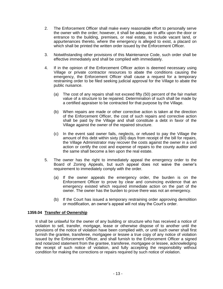- 2. The Enforcement Officer shall make every reasonable effort to personally serve the owner with the order; however, it shall be adequate to affix upon the door or entrance to the building, premises, or real estate, to include vacant land, or appurtenances thereto, where the emergency is alleged to exist, a placard on which shall be printed the written order issued by the Enforcement Officer.
- 3. Notwithstanding other provisions of this Maintenance Code, such order shall be effective immediately and shall be complied with immediately.
- 4. If in the opinion of the Enforcement Officer action is deemed necessary using Village or private contractor resources to abate the conditions causing the emergency, the Enforcement Officer shall cause a request for a temporary restraining order to be filed seeking judicial approval for the Village to abate the public nuisance.
	- (a) The cost of any repairs shall not exceed fifty (50) percent of the fair market value of a structure to be repaired. Determination of such shall be made by a certified appraiser to be contracted for that purpose by the Village.
	- (b) When repairs are made or other corrective action is taken at the direction of the Enforcement Officer, the cost of such repairs and corrective action shall be paid by the Village and shall constitute a debt in favor of the Village against the owner of the repaired structure.
	- (c) In the event said owner fails, neglects, or refused to pay the Village the amount of this debt within sixty (60) days from receipt of the bill for repairs, the Village Administrator may recover the costs against the owner in a civil action or certify the cost and expense of repairs to the county auditor and the same shall become a lien upon the real estate.
- 5. The owner has the right to immediately appeal the emergency order to the Board of Zoning Appeals, but such appeal does not waive the owner's requirement to immediately comply with the order.
	- (a) If the owner appeals the emergency order, the burden is on the Enforcement Officer to prove by clear and convincing evidence that an emergency existed which required immediate action on the part of the owner. The owner has the burden to prove there was not an emergency.
	- (b) If the Court has issued a temporary restraining order approving demolition or modification, an owner's appeal will not stay the Court's order.

## <span id="page-12-0"></span>**1359.04 Transfer of Ownership**

It shall be unlawful for the owner of any building or structure who has received a notice of violation to sell, transfer, mortgage, lease or otherwise dispose of to another until the provisions of the notice of violation have been complied with, or until such owner shall first furnish the grantee, transferee, mortgagee or lessee a true copy of any notice of violation issued by the Enforcement Officer, and shall furnish to the Enforcement Officer a signed and notarized statement from the grantee, transferee, mortgagee or lessee, acknowledging the receipt of such notice of violation, and fully accepting the responsibility without condition for making the corrections or repairs required by such notice of violation.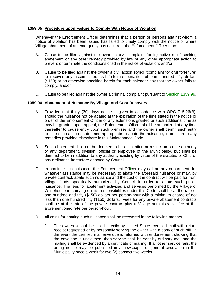## <span id="page-13-0"></span>**1359.05 Procedure upon Failure to Comply With Notice of Violation**

Whenever the Enforcement Officer determines that a person or persons against whom a notice of violation has been issued has failed to timely comply with the notice or where Village abatement of an emergency has occurred, the Enforcement Officer may:

- A. Cause to be filed against the owner a civil complaint for injunctive relief seeking abatement or any other remedy provided by law or any other appropriate action to prevent or terminate the conditions cited in the notice of violation; and/or
- B. Cause to be filed against the owner a civil action styled "complaint for civil forfeiture" to recover any accumulated civil forfeiture penalties of one hundred fifty dollars (\$150) or as otherwise specified herein for each calendar day that the owner fails to comply; and/or
- C. Cause to be filed against the owner a criminal complaint pursuant to [Section 1359.99.](#page-15-0)

#### <span id="page-13-1"></span>**1359.06 Abatement of Nuisance By Village And Cost Recovery**

- A. Provided that thirty (30) days notice is given in accordance with ORC 715.26(B), should the nuisance not be abated at the expiration of the time stated in the notice or order of the Enforcement Officer or any extensions granted or such additional time as may be granted upon appeal, the Enforcement Officer shall be authorized at any time thereafter to cause entry upon such premises and the owner shall permit such entry to take such action as deemed appropriate to abate the nuisance, in addition to any remedies provided elsewhere in this Maintenance Code.
- B. Such abatement shall not be deemed to be a limitation or restriction on the authority of any department, division, official or employee of the Municipality, but shall be deemed to be in addition to any authority existing by virtue of the statutes of Ohio or any ordinance heretofore enacted by Council.
- C. In abating such nuisance, the Enforcement Officer may call on any department, for whatever assistance may be necessary to abate the aforesaid nuisance or may, by private contract, abate such nuisance and the cost of the contract will be paid for from Village funds specifically authorized by Council in order to abate such public nuisance. The fees for abatement activities and services performed by the Village of Whitehouse in carrying out its responsibilities under this Code shall be at the rate of one hundred and fifty (\$150) dollars per person-hour with a minimum charge of not less than one hundred fifty (\$150) dollars. Fees for any private abatement contracts shall be at the rate of the private contract plus a Village administrative fee at the aforementioned rate per person-hour.
- D. All costs for abating such nuisance shall be recovered in the following manner:
	- 1. The owner(s) shall be billed directly by United States certified mail with return receipt requested or by personally serving the owner with a copy of such bill. In the event the certified mail envelope is returned with endorsement showing that the envelope is unclaimed, then service shall be sent by ordinary mail and the mailing shall be evidenced by a certificate of mailing. If all other service fails, the billing notice may be published in a newspaper of general circulation in the Municipality once a week for two (2) consecutive weeks.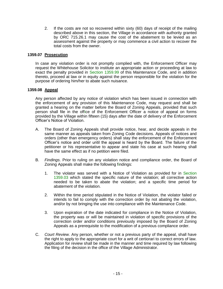2. If the costs are not so recovered within sixty (60) days of receipt of the mailing described above in this section, the Village in accordance with authority granted by ORC 715.26.1 may cause the cost of the abatement to be levied as an assessment against the property or may commence a civil action to recover the total costs from the owner.

## <span id="page-14-0"></span>**1359.07 Prosecution**

In case any violation order is not promptly complied with, the Enforcement Officer may request the Whitehouse Solicitor to institute an appropriate action or proceeding at law to exact the penalty provided in [Section 1359.99](#page-15-0) of this Maintenance Code, and in addition thereto, proceed at law or in equity against the person responsible for the violation for the purpose of ordering him/her to abate such nuisance.

#### <span id="page-14-1"></span>**1359.08 Appeal**

Any person affected by any notice of violation which has been issued in connection with the enforcement of any provision of this Maintenance Code, may request and shall be granted a hearing on the matter before the Board of Zoning Appeals, provided that such person shall file in the office of the Enforcement Officer a notice of appeal on forms provided by the Village within fifteen (15) days after the date of delivery of the Enforcement Officer's Notice of Violation.

- A. The Board of Zoning Appeals shall provide notice, hear, and decide appeals in the same manner as appeals taken from Zoning Code decisions. Appeals of notices and orders (other than emergency orders) shall stay the enforcement of the Enforcement Officer's notice and order until the appeal is heard by the Board. The failure of the petitioner or his representative to appear and state his case at such hearing shall have the same effect as if no petition were filed.
- B. *Findings*. Prior to ruling on any violation notice and compliance order, the Board of Zoning Appeals shall make the following findings:
	- 1. The violator was served with a Notice of Violation as provided for in [Section](#page-10-0)  [1359.03](#page-10-0) which stated the specific nature of the violation; all corrective action needed to be taken to abate the violation; and a specific time period for abatement of the violation.
	- 2. Within the time period stipulated in the Notice of Violation, the violator failed or intends to fail to comply with the correction order by not abating the violation, and/or by not bringing the use into compliance with the Maintenance Code.
	- 3. Upon expiration of the date indicated for compliance in the Notice of Violation, the property was or will be maintained in violation of specific provisions of the correction order and/or conditions previously imposed by the Board of Zoning Appeals as a prerequisite to the modification of a previous compliance order.
- C. *Court Review.* Any person, whether or not a previous party of the appeal, shall have the right to apply to the appropriate court for a writ of certiorari to correct errors of law. Application for review shall be made in the manner and time required by law following the filing of the decision in the office of the Village Administrator.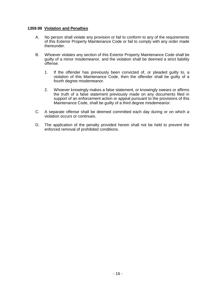#### <span id="page-15-0"></span>**1359.99 Violation and Penalties**

- A. No person shall violate any provision or fail to conform to any of the requirements of this Exterior Property Maintenance Code or fail to comply with any order made thereunder.
- B. Whoever violates any section of this Exterior Property Maintenance Code shall be guilty of a minor misdemeanor, and the violation shall be deemed a strict liability offense.
	- 1. If the offender has previously been convicted of, or pleaded guilty to, a violation of this Maintenance Code, then the offender shall be guilty of a fourth degree misdemeanor.
	- 2. Whoever knowingly makes a false statement, or knowingly swears or affirms the truth of a false statement previously made on any documents filed in support of an enforcement action or appeal pursuant to the provisions of this Maintenance Code, shall be guilty of a third degree misdemeanor.
- C. A separate offense shall be deemed committed each day during or on which a violation occurs or continues.
- D. The application of the penalty provided herein shall not be held to prevent the enforced removal of prohibited conditions.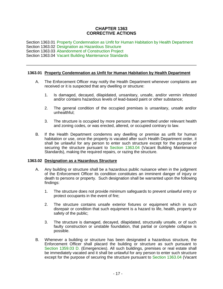## **CHAPTER 1363 CORRECTIVE ACTIONS**

<span id="page-16-0"></span>Section 1363.01 [Property Condemnation as Unfit for Human Habitation by Health Department](#page-16-2) Section 1363.02 [Designation as Hazardous Structure](#page-16-1) Section 1363.03 [Abandonment of Construction Project](#page-17-0) Section 1363.04 [Vacant Building Maintenance Standards](#page-17-1)

## <span id="page-16-2"></span>**1363.01 Property Condemnation as Unfit for Human Habitation by Health Department**

- A. The Enforcement Officer may notify the Health Department whenever complaints are received or it is suspected that any dwelling or structure:
	- 1. Is damaged, decayed, dilapidated, unsanitary, unsafe, and/or vermin infested and/or contains hazardous levels of lead-based paint or other substance;
	- 2. The general condition of the occupied premises is unsanitary, unsafe and/or unhealthful;
	- 3. The structure is occupied by more persons than permitted under relevant health and zoning codes, or was erected, altered, or occupied contrary to law.
- B. If the Health Department condemns any dwelling or premise as unfit for human habitation or use, once the property is vacated after such Health Department order, it shall be unlawful for any person to enter such structure except for the purpose of securing the structure pursuant to [Section 1363.04](#page-17-1) (Vacant Building Maintenance Standards), making the required repairs, or razing the structure.

## <span id="page-16-1"></span>**1363.02 Designation as a Hazardous Structure**

- A. Any building or structure shall be a hazardous public nuisance when in the judgment of the Enforcement Officer its condition constitutes an imminent danger of injury or death to persons or property. Such designation shall be warranted upon the following findings:
	- 1. The structure does not provide minimum safeguards to prevent unlawful entry or protect occupants in the event of fire;
	- 2. The structure contains unsafe exterior fixtures or equipment which in such disrepair or condition that such equipment is a hazard to life, health, property or safety of the public;
	- 3. The structure is damaged, decayed, dilapidated, structurally unsafe, or of such faulty construction or unstable foundation, that partial or complete collapse is possible.
- B. Whenever a building or structure has been designated a hazardous structure, the Enforcement Officer shall placard the building or structure as such pursuant to [Section 1359.03](#page-11-0) D. (Emergencies). All such buildings, premises or real estate shall be immediately vacated and it shall be unlawful for any person to enter such structure except for the purpose of securing the structure pursuant to [Section 1363.04](#page-17-1) (Vacant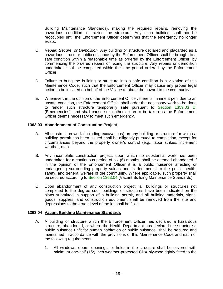Building Maintenance Standards), making the required repairs, removing the hazardous condition, or razing the structure. Any such building shall not be reoccupied until the Enforcement Officer determines that the emergency no longer exists.

- C. *Repair, Secure, or Demolition.* Any building or structure declared and placarded as a hazardous structure public nuisance by the Enforcement Officer shall be brought to a safe condition within a reasonable time as ordered by the Enforcement Officer, by commencing the ordered repairs or razing the structure. Any repairs or demolition undertaken shall be completed within the time period ordered by the Enforcement Officer.
- D. Failure to bring the building or structure into a safe condition is a violation of this Maintenance Code, such that the Enforcement Officer may cause any proper legal action to be initiated on behalf of the Village to abate the hazard to the community.
- E. Whenever, in the opinion of the Enforcement Officer, there is imminent peril due to an unsafe condition, the Enforcement Official shall order the necessary work to be done to render such structure temporarily safe pursuant to [Section 1359.03](#page-11-0) D. (Emergencies), and shall cause such other action to be taken as the Enforcement Officer deems necessary to meet such emergency.

## <span id="page-17-0"></span>**1363.03 Abandonment of Construction Project**

- A. All construction work (including excavations) on any building or structure for which a building permit has been issued shall be diligently pursued to completion, except for circumstances beyond the property owner's control (e.g., labor strikes, inclement weather, etc.).
- B. Any incomplete construction project, upon which no substantial work has been undertaken for a continuous period of six (6) months, shall be deemed abandoned if in the opinion of the Enforcement Officer it is a public nuisance affecting or endangering surrounding property values and is detrimental to the public health, safety, and general welfare of the community. Where applicable, such property shall be secured according to [Section 1363.04](#page-17-1) (Vacant Building Maintenance Standards).
- C. Upon abandonment of any construction project, all buildings or structures not completed to the degree such buildings or structures have been indicated on the plans submitted in support of a building permit, and all building materials, signs, goods, supplies, and construction equipment shall be removed from the site and depressions to the grade level of the lot shall be filled.

## <span id="page-17-1"></span>**1363.04 Vacant Building Maintenance Standards**

- A. A building or structure which the Enforcement Officer has declared a hazardous structure, abandoned, or where the Health Department has declared the structure a public nuisance unfit for human habitation or public nuisance, shall be secured and maintained in accordance with the provisions of this Maintenance Code and each of the following requirements:
	- 1. All windows, doors, openings, or holes in the structure shall be covered with minimum one-half (1/2) inch weather-protected CDX plywood tightly fitted to the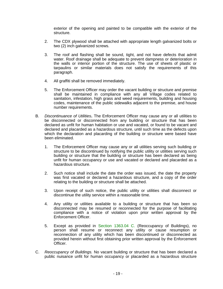exterior of the opening and painted to be compatible with the exterior of the structure.

- 2. The CDX plywood shall be attached with appropriate length galvanized bolts or two (2) inch galvanized screws.
- 3. The roof and flashing shall be sound, tight, and not have defects that admit water. Roof drainage shall be adequate to prevent dampness or deterioration in the walls or interior portion of the structure. The use of sheets of plastic or tarpaulins or similar materials does not satisfy the requirements of this paragraph.
- 4. All graffiti shall be removed immediately.
- 5. The Enforcement Officer may order the vacant building or structure and premise shall be maintained in compliance with any all Village codes related to sanitation, infestation, high grass and weed requirements, building and housing codes, maintenance of the public sidewalks adjacent to the premise, and house number requirements.
- B. *Discontinuance of Utilities***.** The Enforcement Officer may cause any or all utilities to be disconnected or disconnected from any building or structure that has been declared as unfit for human habitation or use and vacated, or found to be vacant and declared and placarded as a hazardous structure, until such time as the defects upon which the declaration and placarding of the building or structure were based have been eliminated.
	- 1. The Enforcement Officer may cause any or all utilities serving such building or structure to be discontinued by notifying the public utility or utilities serving such building or structure that the building or structure has been declared as being unfit for human occupancy or use and vacated or declared and placarded as a hazardous structure.
	- 2. Such notice shall include the date the order was issued, the date the property was first vacated or declared a hazardous structure, and a copy of the order relating to the building or structure shall be attached.
	- 3. Upon receipt of such notice, the public utility or utilities shall disconnect or discontinue the utility service within a reasonable time.
	- 4. Any utility or utilities available to a building or structure that has been so disconnected may be resumed or reconnected for the purpose of facilitating compliance with a notice of violation upon prior written approval by the Enforcement Officer.
	- 5. Except as provided in [Section 1363.04](#page-18-0) C. (Reoccupancy of Buildings), no person shall resume or reconnect any utility or cause resumption or reconnection of any utility which has been discontinued or disconnected as provided herein without first obtaining prior written approval by the Enforcement Officer.
- <span id="page-18-0"></span>C. *Reoccupancy of Buildings.* No vacant building or structure that has been declared a public nuisance unfit for human occupancy or placarded as a hazardous structure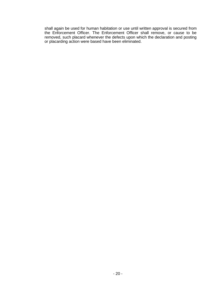shall again be used for human habitation or use until written approval is secured from the Enforcement Officer. The Enforcement Officer shall remove, or cause to be removed, such placard whenever the defects upon which the declaration and posting or placarding action were based have been eliminated.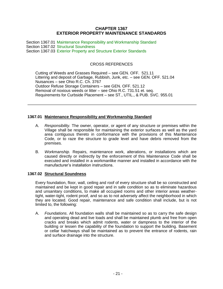## **CHAPTER 1367 EXTERIOR PROPERTY MAINTENANCE STANDARDS**

<span id="page-20-0"></span>Section 1367.01 [Maintenance Responsibility and Workmanship Standard](#page-20-1) Section 1367.02 [Structural Soundness](#page-20-2) Section 1367.03 [Exterior Property and Structure Exterior Standards](#page-22-0)

## CROSS REFERENCES

Cutting of Weeds and Grasses Required – see GEN. OFF. 521.11 Littering and deposit of Garbage, Rubbish, Junk, etc. – see GEN. OFF. 521.04 Nuisances – see Ohio R.C. Ch. 3767 Outdoor Refuse Storage Containers – see GEN. OFF. 521.12 Removal of noxious weeds or litter – see Ohio R.C. 731.51 et. seq. Requirements for Curbside Placement – see ST., UTIL., & PUB. SVC. 955.01

#### <span id="page-20-1"></span>**1367.01 Maintenance Responsibility and Workmanship Standard**

- A. *Responsibility.* The owner, operator, or agent of any structure or premises within the Village shall be responsible for maintaining the exterior surfaces as well as the yard area contiguous thereto in conformance with the provisions of this Maintenance Code, or to raze the structure to grade level and have debris removed from the premises.
- B. *Workmanship.* Repairs, maintenance work, alterations, or installations which are caused directly or indirectly by the enforcement of this Maintenance Code shall be executed and installed in a workmanlike manner and installed in accordance with the manufacturer's installation instructions.

#### <span id="page-20-2"></span>**1367.02 Structural Soundness**

Every foundation, floor, wall, ceiling and roof of every structure shall be so constructed and maintained and be kept in good repair and in safe condition so as to eliminate hazardous and unsanitary conditions, to make all occupied rooms and other interior areas weathertight, water-tight, rodent proof, and so as to not adversely affect the neighborhood in which they are located. Good repair, maintenance and safe condition shall include, but is not limited to, the following:

A. *Foundations*. All foundation walls shall be maintained so as to carry the safe design and operating dead and live loads and shall be maintained plumb and free from open cracks and breaks which admit rodents, water or dampness to the interior of the building or lessen the capability of the foundation to support the building. Basement or cellar hatchways shall be maintained as to prevent the entrance of rodents, rain and surface drainage into the structure.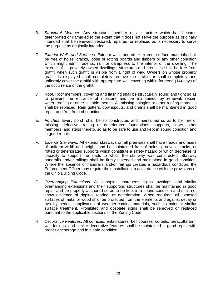- B. *Structural Member*. Any structural member of a structure which has become deteriorated or damaged to the extent that it does not serve the purpose as originally intended shall be renewed, restored, repaired, or replaced as is necessary to serve the purpose as originally intended.
- C. *Exterior Walls and Surfaces*. Exterior walls and other exterior surface materials shall be free of holes, cracks, loose or rotting boards and timbers or any other condition which might admit rodents, rain or dampness to the interior of the dwelling. The exterior of all privately owned dwellings, structures and premises shall be free from graffiti when such graffiti is visible from a right of way. Owners on whose property graffiti is displayed shall completely remove the graffiti or shall completely and uniformly cover the graffiti with appropriate wall covering within fourteen (14) days of the occurrence of the graffiti.
- D. *Roof*. Roof members, covering and flashing shall be structurally sound and tight so as to prevent the entrance of moisture and be maintained by renewal, repair, waterproofing or other suitable means. All missing shingles or other roofing materials shall be replaced. Rain gutters, downspouts, and drains shall be maintained in good repair and free from obstructions.
- E. *Porches*. Every porch shall be so constructed and maintained so as to be free of missing, defective, rotting or deteriorated foundations, supports, floors, other members, and steps thereto, so as to be safe to use and kept in sound condition and in good repair.
- F. *Exterior Stairways.* All exterior stairways on all premises shall have treads and risers of uniform width and height, and be maintained free of holes, grooves, cracks, or rotted or deteriorated supports which constitute a safety hazard or which decrease its capacity to support the loads to which the stairway was constructed. Stairway handrails and/or railings shall be firmly fastened and maintained in good condition. Where the absence of handrails and/or railings creates a hazardous condition, the Enforcement Officer may require their installation in accordance with the provisions of the Ohio Building Code.
- G. *Overhanging Extensions.* All canopies, marquees, signs, awnings, and similar overhanging extensions and their supporting structures shall be maintained in good repair and be properly anchored so as to be kept in a sound condition and shall not show evidence of ripping, tearing, or deterioration. When required, all exposed surfaces of metal or wood shall be protected from the elements and against decay or rust by periodic application of weather-coating materials, such as paint or similar surface treatment. Prohibited and obsolete signs shall be removed or replaced pursuant to the applicable sections of the Zoning Code.
- H. *Decorative Features*. All cornices, entablatures, bell courses, corbels, terracotta trim, wall facings, and similar decorative features shall be maintained in good repair with proper anchorage and in a safe condition.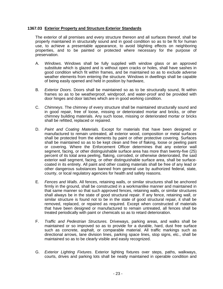## <span id="page-22-0"></span>**1367.03 Exterior Property and Structure Exterior Standards**

The exterior of all premises and every structure thereon and all surfaces thereof, shall be properly maintained in structurally sound and in good condition so as to be fit for human use, to achieve a presentable appearance, to avoid blighting effects on neighboring properties, and to be painted or protected where necessary for the purpose of preservation.

- A. *Windows*. Windows shall be fully supplied with window glass or an approved substitute which is glazed and is without open cracks or holes, shall have sashes in good condition which fit within frames, and be maintained so as to exclude adverse weather elements from entering the structure. Windows in dwellings shall be capable of being easily opened and held in position by hardware,
- B. *Exterior Doors*. Doors shall be maintained so as to be structurally sound, fit within frames so as to be weatherproof, windproof, and water-proof and be provided with door hinges and door latches which are in good working condition.
- C. *Chimneys*. The chimney of every structure shall be maintained structurally sound and in good repair, free of loose, missing or deteriorated mortar and bricks, or other chimney building materials. Any such loose, missing or deteriorated mortar or bricks shall be refitted, replaced or repaired.
- D. *Paint and Coating Materials.* Except for materials that have been designed or manufactured to remain untreated, all exterior wood, composition or metal surfaces shall be protected from the elements by paint or other protective covering. Surfaces shall be maintained so as to be kept clean and free of flaking, loose or peeling paint or covering. Where the Enforcement Officer determines that any exterior wall segment, facing, or other distinguishable surface area has more than twenty-five (25) percent of its total area peeling, flaking, corroded, or otherwise deteriorated, the said exterior wall segment, facing, or other distinguishable surface area, shall be surfacecoated in its entirety. All paint and other coating materials shall be free of any lead or other dangerous substances banned from general use by authorized federal, state, county, or local regulatory agencies for health and safety reasons.
- E. *Fences and Walls*. All fences, retaining walls, or similar structures shall be anchored firmly in the ground, shall be constructed in a workmanlike manner and maintained in that same manner so that such approved fences, retaining walls, or similar structures shall always be in the state of good structural repair. If any fence, retaining wall, or similar structure is found not to be in the state of good structural repair, it shall be removed, replaced, or repaired as required. Except when constructed of materials that have been designed or manufactured to remain untreated, all fences shall be treated periodically with paint or chemicals so as to retard deterioration.
- F. *Traffic and Pedestrian Structures.* Driveways, parking areas, and walks shall be maintained or so improved so as to provide for a durable, hard, dust free surface such as concrete, asphalt, or comparable material. All traffic markings such as directional arrows, lane division lines, parking space lines, stop signs, etc., shall be maintained so as to be clearly visible and easily recognized.
- G. *Exterior Lighting Fixtures*. Exterior lighting fixtures over steps, paths, walkways, courts, drives and parking lots shall be neatly maintained in operable condition and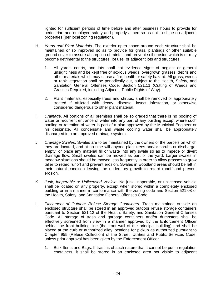lighted for sufficient periods of time before and after business hours to provide for pedestrian and employee safety and properly aimed so as not to shine on adjacent properties (per local zoning regulation).

- H. *Yards and Plant Materials.* The exterior open space around each structure shall be maintained or so improved so as to provide for grass, plantings or other suitable ground cover to assure absorption of rainfall and prevent soil erosion which is or may become detrimental to the structures, lot use, or adjacent lots and structures.
	- 1. All yards, courts, and lots shall not evidence signs of neglect or general unsightliness and be kept free of noxious weeds, overgrown grasses, debris and other materials which may cause a fire, health or safety hazard. All grass, weeds or rank vegetation shall be periodically cut, subject to the Health, Safety, and Sanitation General Offenses Code, Section 521.11 (Cutting of Weeds and Grasses Required, including Adjacent Public Rights of Way).
	- 2. Plant materials, especially trees and shrubs, shall be removed or appropriately treated if afflicted with decay, disease, insect infestation, or otherwise considered dangerous to other plant material.
- I. *Drainage*. All portions of all premises shall be so graded that there is no pooling of water or recurrent entrance of water into any part of any building except where such pooling or retention of water is part of a plan approved by the Municipal Engineer or his designate. All condensate and waste cooling water shall be appropriately discharged into an approved drainage system.
- J. *Drainage Swales*. Swales are to be maintained by the owners of the parcels on which they are located, and at no time will anyone plant trees and/or shrubs or discharge, empty, or place any material fill or waste into any swale so as to impede or divert drainage flow. Small swales can be mowed as part of the yard. Larger swales in meadow situations should be mowed less frequently in order to allow grasses to grow taller to retard runoff and prevent erosion. Swales in woodland areas should be left in their natural condition leaving the understory growth to retard runoff and prevent erosion.
- K. *Junk, Inoperable or Unlicensed Vehicle.* No junk, inoperable, or unlicensed vehicle shall be located on any property, except when stored within a completely enclosed building or in a manner in conformance with the zoning code and Section 521.08 of the Health, Safety, and Sanitation General Offenses Code.
- L. *Placement of Outdoor Refuse Storage Containers.* Trash maintained outside an enclosed structure shall be stored in an approved outdoor refuse storage containers pursuant to Section 521.12 of the Health, Safety, and Sanitation General Offenses Code. All storage of trash and garbage containers and/or dumpsters shall be effectively screened from view in a manner approved by the Enforcement Officer behind the front building line (the front wall of the principal building) and shall be placed at the curb or authorized alley locations for pickup as authorized pursuant to Chapter 955 (Refuse Collection) of the Street, Utilities and Public Services Code, unless prior approval has been given by the Enforcement Officer.
	- 1. Bulk Items and Bags. If trash is of such nature that it cannot be put in regulation containers, it shall be stored in an enclosed area not visible to adjacent